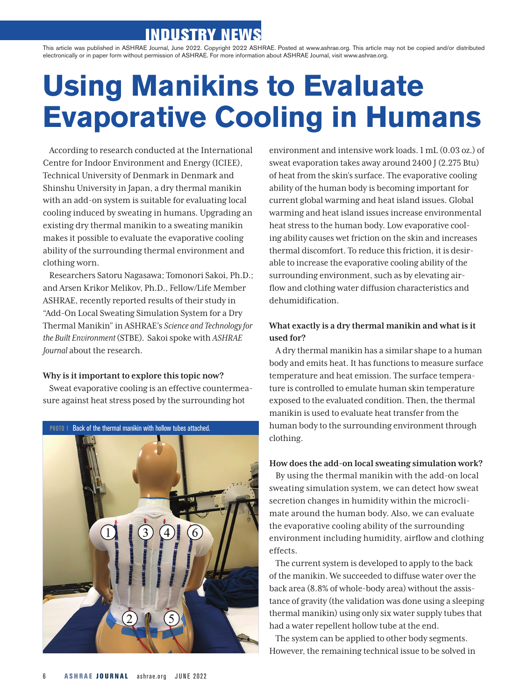# INDUSTRY

This article was published in ASHRAE Journal, June 2022. Copyright 2022 ASHRAE. Posted at [www.ashrae.org.](http://www.ashrae.org) This article may not be copied and/or distributed electronically or in paper form without permission of ASHRAE. For more information about ASHRAE Journal, visit [www.ashrae.org](http://www.ashrae.org).

# **Using Manikins to Evaluate Evaporative Cooling in Humans**

According to research conducted at the International Centre for Indoor Environment and Energy (ICIEE), Technical University of Denmark in Denmark and Shinshu University in Japan, a dry thermal manikin with an add-on system is suitable for evaluating local cooling induced by sweating in humans. Upgrading an existing dry thermal manikin to a sweating manikin makes it possible to evaluate the evaporative cooling ability of the surrounding thermal environment and clothing worn.

Researchers Satoru Nagasawa; Tomonori Sakoi, Ph.D.; and Arsen Krikor Melikov, Ph.D., Fellow/Life Member ASHRAE, recently reported results of their study in "Add-On Local Sweating Simulation System for a Dry Thermal Manikin" in ASHRAE's *Science and Technology for the Built Environment* (STBE)*.* Sakoi spoke with *ASHRAE Journal* about the research.

#### **Why is it important to explore this topic now?**

Sweat evaporative cooling is an effective countermeasure against heat stress posed by the surrounding hot



environment and intensive work loads. 1 mL (0.03 oz.) of sweat evaporation takes away around 2400 J (2.275 Btu) of heat from the skin's surface. The evaporative cooling ability of the human body is becoming important for current global warming and heat island issues. Global warming and heat island issues increase environmental heat stress to the human body. Low evaporative cooling ability causes wet friction on the skin and increases thermal discomfort. To reduce this friction, it is desirable to increase the evaporative cooling ability of the surrounding environment, such as by elevating airflow and clothing water diffusion characteristics and dehumidification.

# **What exactly is a dry thermal manikin and what is it used for?**

A dry thermal manikin has a similar shape to a human body and emits heat. It has functions to measure surface temperature and heat emission. The surface temperature is controlled to emulate human skin temperature exposed to the evaluated condition. Then, the thermal manikin is used to evaluate heat transfer from the human body to the surrounding environment through clothing.

### **How does the add-on local sweating simulation work?**

By using the thermal manikin with the add-on local sweating simulation system, we can detect how sweat secretion changes in humidity within the microclimate around the human body. Also, we can evaluate the evaporative cooling ability of the surrounding environment including humidity, airflow and clothing effects.

The current system is developed to apply to the back of the manikin. We succeeded to diffuse water over the back area (8.8% of whole-body area) without the assistance of gravity (the validation was done using a sleeping thermal manikin) using only six water supply tubes that had a water repellent hollow tube at the end.

The system can be applied to other body segments. However, the remaining technical issue to be solved in